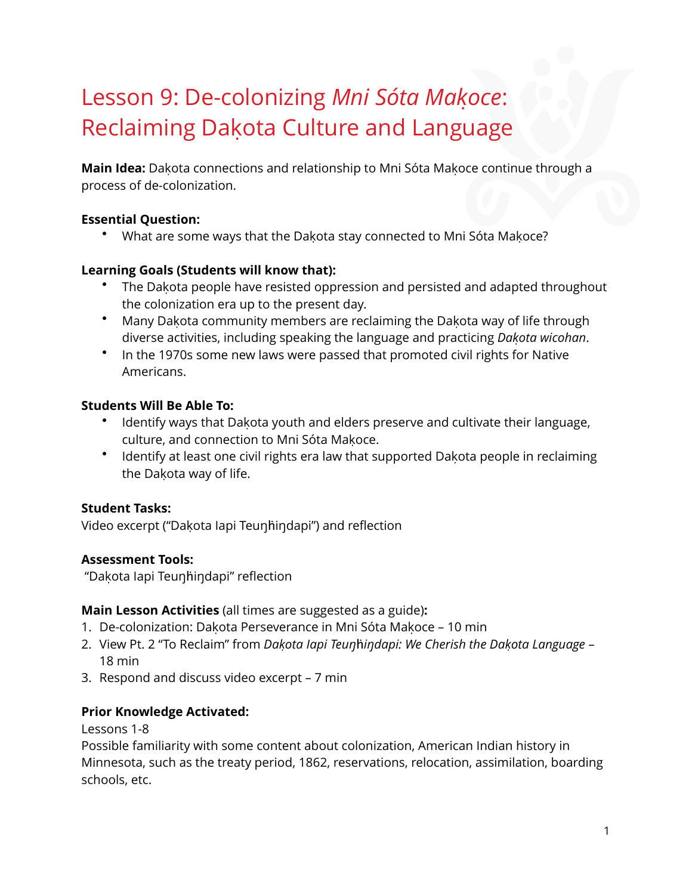# Lesson 9: De-colonizing *Mni Sóta Makoc̣ e*: Reclaiming Dakota Culture and Language

**Main Idea:** Dakota connections and relationship to Mni Sóta Makoce continue through a process of de-colonization.

#### **Essential Question:**

• What are some ways that the Dakota stay connected to Mni Sóta Makoce?

#### **Learning Goals (Students will know that):**

- The Dakota people have resisted oppression and persisted and adapted throughout the colonization era up to the present day.
- Many Dakota community members are reclaiming the Dakota way of life through diverse activities, including speaking the language and practicing *Dakoṭ a wicohan*.
- In the 1970s some new laws were passed that promoted civil rights for Native Americans.

#### **Students Will Be Able To:**

- Identify ways that Dakota youth and elders preserve and cultivate their language, culture, and connection to Mni Sóta Makoce.
- Identify at least one civil rights era law that supported Dakota people in reclaiming the Dakota way of life.

#### **Student Tasks:**

Video excerpt ("Dakota lapi Teunhindapi") and reflection

#### **Assessment Tools:**

"Dakota lapi Teunhindapi" reflection

#### **Main Lesson Activities** (all times are suggested as a guide)**:**

- 1. De-colonization: Dakota Perseverance in Mni Sóta Makoce 10 min
- 2. View Pt. 2 "To Reclaim" from *Dakoṭ a Iapi Teuŋ*ḣ*iŋdapi: We Cherish the Dakoṭ a Language* 18 min
- 3. Respond and discuss video excerpt 7 min

#### **Prior Knowledge Activated:**

Lessons 1-8

Possible familiarity with some content about colonization, American Indian history in Minnesota, such as the treaty period, 1862, reservations, relocation, assimilation, boarding schools, etc.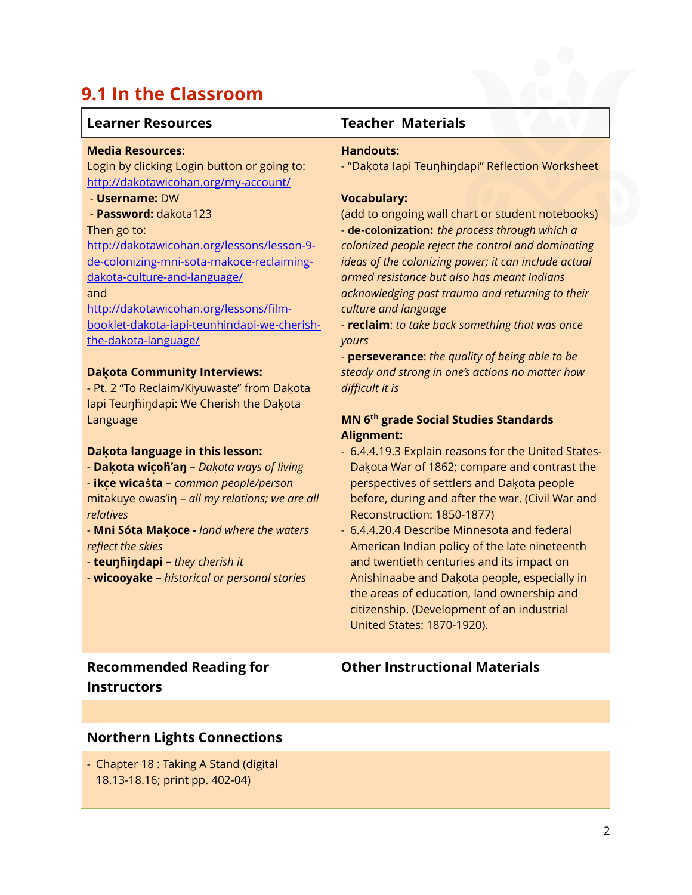### **9.1 In the Classroom**

#### **Learner Resources Teacher Materials**

#### **Media Resources:**

Login by clicking Login button or going to: <http://dakotawicohan.org/my-account/>

#### - **Username:** DW

- **Password:** dakota123

#### Then go to:

[http://dakotawicohan.org/lessons/lesson-9](http://dakotawicohan.org/lessons/lesson-9-de-colonizing-mni-sota-makoce-reclaiming-dakota-culture-and-language/) de-colonizing-mni-sota-makoce-reclaimingdakota-culture-and-language/

#### and

http://dakotawicohan.org/lessons/film[booklet-dakota-iapi-teunhindapi-we-cherish](http://dakotawicohan.org/lessons/film-booklet-dakota-iapi-teunhindapi-we-cherish-the-dakota-language/)the-dakota-language/

#### **Daḳota Community Interviews:**

- Pt. 2 "To Reclaim/Kiyuwaste" from Dakota lapi Teunhindapi: We Cherish the Dakota Language

#### **Dakọ ta language in this lesson:**

- **Dakọ ta wicọ ḣ'aŋ** – *Dakoṭ a ways of living* - **ikcẹ wicaṡta** – *common people/person* mitakuye owas'in - all my relations; we are all *relatives*

- **Mni Sóta Makọ ce -** *land where the waters reflect the skies*

- **teuŋḣiŋdapi –** *they cherish it*

- **wicooyake –** *historical or personal stories*

#### **Handouts:**

- "Dakota lapi Teunhindapi" Reflection Worksheet

#### **Vocabulary:**

(add to ongoing wall chart or student notebooks) - **de-colonization:** *the process through which a colonized people reject the control and dominating ideas of the colonizing power; it can include actual armed resistance but also has meant Indians acknowledging past trauma and returning to their culture and language*

- **reclaim**: *to take back something that was once yours*

- **perseverance**: *the quality of being able to be steady and strong in one's actions no matter how difficult it is*

#### **MN 6th grade Social Studies Standards Alignment:**

- 6.4.4.19.3 Explain reasons for the United States-Dakota War of 1862; compare and contrast the perspectives of settlers and Dakota people before, during and after the war. (Civil War and Reconstruction: 1850-1877)
- 6.4.4.20.4 Describe Minnesota and federal American Indian policy of the late nineteenth and twentieth centuries and its impact on Anishinaabe and Dakota people, especially in the areas of education, land ownership and citizenship. (Development of an industrial United States: 1870-1920).

### **Recommended Reading for Instructors**

#### **Other Instructional Materials**

#### **Northern Lights Connections**

- Chapter 18 : Taking A Stand (digital 18.13-18.16; print pp. 402-04)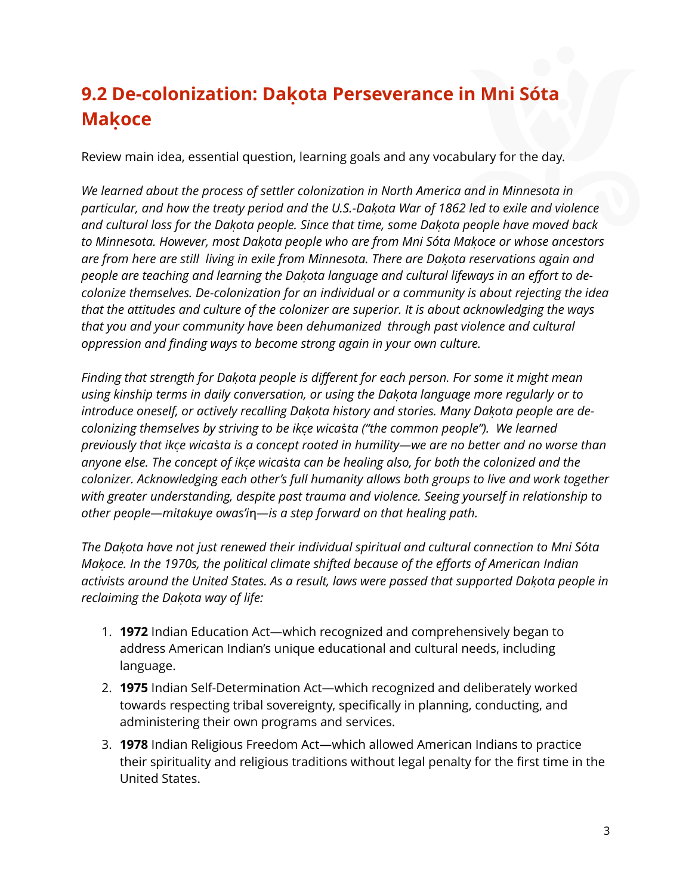## **9.2 De-colonization: Dakọ ta Perseverance in Mni Sóta Makọ ce**

Review main idea, essential question, learning goals and any vocabulary for the day.

*We learned about the process of settler colonization in North America and in Minnesota in particular, and how the treaty period and the U.S.-Dakoṭ a War of 1862 led to exile and violence* and cultural loss for the Dakota people. Since that time, some Dakota people have moved back *to Minnesota. However, most Dakoṭ a people who are from Mni Sóta Makoc̣ e or whose ancestors are from here are still living in exile from Minnesota. There are Dakoṭ a reservations again and people are teaching and learning the Dakoṭ a language and cultural lifeways in an effort to decolonize themselves. De-colonization for an individual or a community is about rejecting the idea that the attitudes and culture of the colonizer are superior. It is about acknowledging the ways that you and your community have been dehumanized through past violence and cultural oppression and finding ways to become strong again in your own culture.* 

*Finding that strength for Dakoṭ a people is different for each person. For some it might mean using kinship terms in daily conversation, or using the Dakoṭ a language more regularly or to introduce oneself, or actively recalling Dakoṭ a history and stories. Many Dakoṭ a people are decolonizing themselves by striving to be ikcẹ wica*ṡ*ta ("the common people"). We learned previously that ikcẹ wica*ṡ*ta is a concept rooted in humility—we are no better and no worse than anyone else. The concept of ikcẹ wica*ṡ*ta can be healing also, for both the colonized and the colonizer. Acknowledging each other's full humanity allows both groups to live and work together with greater understanding, despite past trauma and violence. Seeing yourself in relationship to other people—mitakuye owas'i*ƞ*—is a step forward on that healing path.* 

*The Dakoṭ a have not just renewed their individual spiritual and cultural connection to Mni Sóta Makoc̣ e. In the 1970s, the political climate shifted because of the efforts of American Indian* activists around the United States. As a result, laws were passed that supported Dakota people in *reclaiming the Dakoṭ a way of life:*

- 1. **1972** Indian Education Act—which recognized and comprehensively began to address American Indian's unique educational and cultural needs, including language.
- 2. **1975** Indian Self-Determination Act—which recognized and deliberately worked towards respecting tribal sovereignty, specifically in planning, conducting, and administering their own programs and services.
- 3. **1978** Indian Religious Freedom Act—which allowed American Indians to practice their spirituality and religious traditions without legal penalty for the first time in the United States.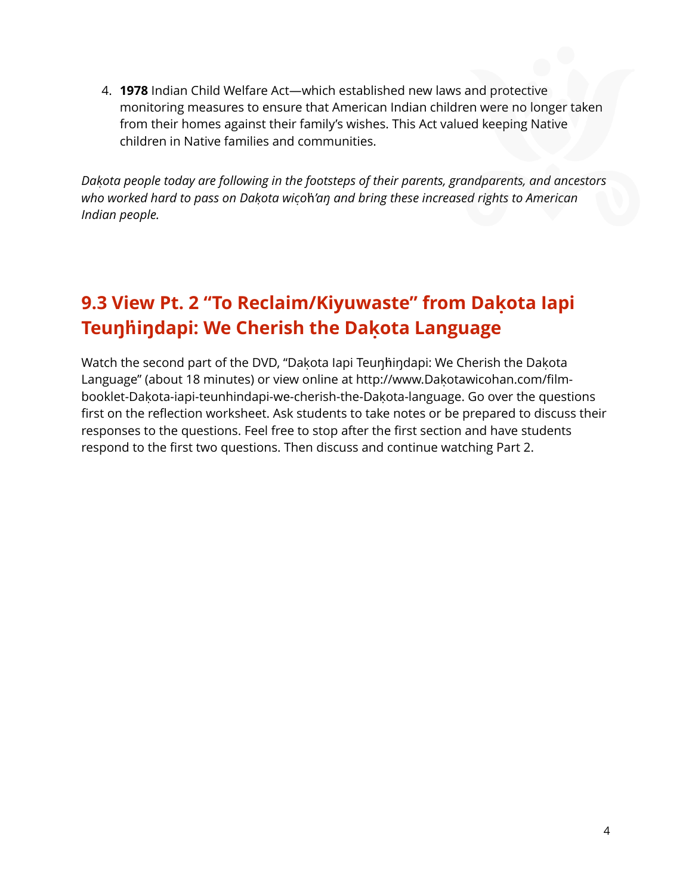4. **1978** Indian Child Welfare Act—which established new laws and protective monitoring measures to ensure that American Indian children were no longer taken from their homes against their family's wishes. This Act valued keeping Native children in Native families and communities.

*Dakoṭ a people today are following in the footsteps of their parents, grandparents, and ancestors who worked hard to pass on Dakoṭ a wicọ* ḣ*'aŋ and bring these increased rights to American Indian people.* 

### **9.3 View Pt. 2 "To Reclaim/Kiyuwaste" from Dakọ ta Iapi Teuŋḣiŋdapi: We Cherish the Dakọ ta Language**

Watch the second part of the DVD, "Dakota lapi Teunhindapi: We Cherish the Dakota Language" (about 18 minutes) or view online at [http://www.Dakota](http://www.dakotawicohan.com/film-booklet-dakota-iapi-teunhindapi-we-cherish-the-dakota-language)wicohan.com/film-booklet-Dakota[-iapi-teunhindapi-we-cherish-the-Dakota](http://www.dakotawicohan.com/film-booklet-dakota-iapi-teunhindapi-we-cherish-the-dakota-language)-language. Go over the questions first on the reflection worksheet. Ask students to take notes or be prepared to discuss their responses to the questions. Feel free to stop after the first section and have students respond to the first two questions. Then discuss and continue watching Part 2.